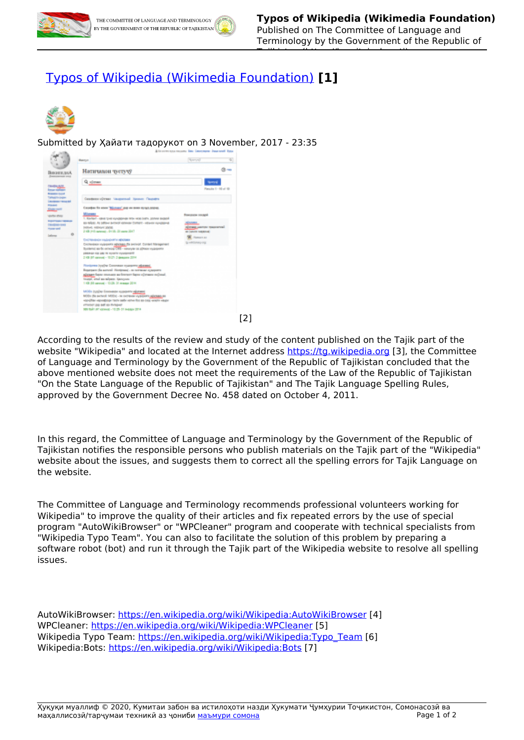

Tajikistan (https://kumitaizabon.tj)

## [Typos of Wikipedia \(Wikimedia Foundation\)](https://kumitaizabon.tj/en/content/typos-wikipedia-wikimedia-foundation) **[1]**



Submitted by Ҳайати тадорукот on 3 November, 2017 - 23:35



[2]

According to the results of the review and study of the content published on the Tajik part of the website "Wikipedia" and located at the Internet address <https://tg.wikipedia.org> [3], the Committee of Language and Terminology by the Government of the Republic of Tajikistan concluded that the above mentioned website does not meet the requirements of the Law of the Republic of Tajikistan "On the State Language of the Republic of Tajikistan" and The Tajik Language Spelling Rules, approved by the Government Decree No. 458 dated on October 4, 2011.

In this regard, the Committee of Language and Terminology by the Government of the Republic of Tajikistan notifies the responsible persons who publish materials on the Tajik part of the "Wikipedia" website about the issues, and suggests them to correct all the spelling errors for Tajik Language on the website.

The Committee of Language and Terminology recommends professional volunteers working for Wikipedia" to improve the quality of their articles and fix repeated errors by the use of special program "AutoWikiBrowser" or "WPCleaner" program and cooperate with technical specialists from "Wikipedia Typo Team". You can also to facilitate the solution of this problem by preparing a software robot (bot) and run it through the Tajik part of the Wikipedia website to resolve all spelling issues.

AutoWikiBrowser:<https://en.wikipedia.org/wiki/Wikipedia:AutoWikiBrowser> [4] WPCleaner: <https://en.wikipedia.org/wiki/Wikipedia:WPCleaner> [5] Wikipedia Typo Team: [https://en.wikipedia.org/wiki/Wikipedia:Typo\\_Team](https://en.wikipedia.org/wiki/Wikipedia:Typo_Team) [6] Wikipedia:Bots: <https://en.wikipedia.org/wiki/Wikipedia:Bots> [7]